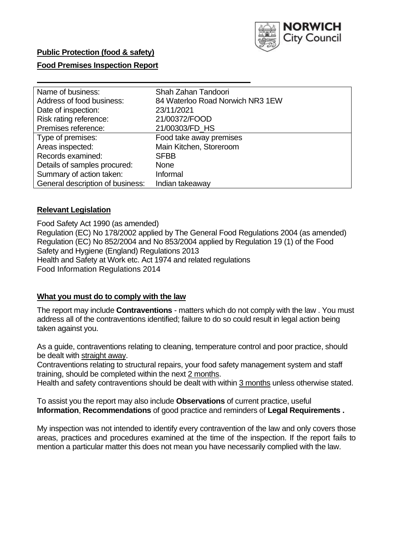

# **Food Premises Inspection Report**

| Name of business:                | Shah Zahan Tandoori              |
|----------------------------------|----------------------------------|
| Address of food business:        | 84 Waterloo Road Norwich NR3 1EW |
| Date of inspection:              | 23/11/2021                       |
| Risk rating reference:           | 21/00372/FOOD                    |
| Premises reference:              | 21/00303/FD HS                   |
| Type of premises:                | Food take away premises          |
| Areas inspected:                 | Main Kitchen, Storeroom          |
| Records examined:                | <b>SFBB</b>                      |
| Details of samples procured:     | None                             |
| Summary of action taken:         | Informal                         |
| General description of business: | Indian takeaway                  |

#### **Relevant Legislation**

 Food Safety Act 1990 (as amended) Regulation (EC) No 178/2002 applied by The General Food Regulations 2004 (as amended) Regulation (EC) No 852/2004 and No 853/2004 applied by Regulation 19 (1) of the Food Safety and Hygiene (England) Regulations 2013 Health and Safety at Work etc. Act 1974 and related regulations Food Information Regulations 2014

#### **What you must do to comply with the law**

 The report may include **Contraventions** - matters which do not comply with the law . You must address all of the contraventions identified; failure to do so could result in legal action being taken against you.

 As a guide, contraventions relating to cleaning, temperature control and poor practice, should be dealt with straight away.

 Contraventions relating to structural repairs, your food safety management system and staff training, should be completed within the next 2 months.

Health and safety contraventions should be dealt with within 3 months unless otherwise stated.

 To assist you the report may also include **Observations** of current practice, useful **Information**, **Recommendations** of good practice and reminders of **Legal Requirements .** 

 My inspection was not intended to identify every contravention of the law and only covers those areas, practices and procedures examined at the time of the inspection. If the report fails to mention a particular matter this does not mean you have necessarily complied with the law.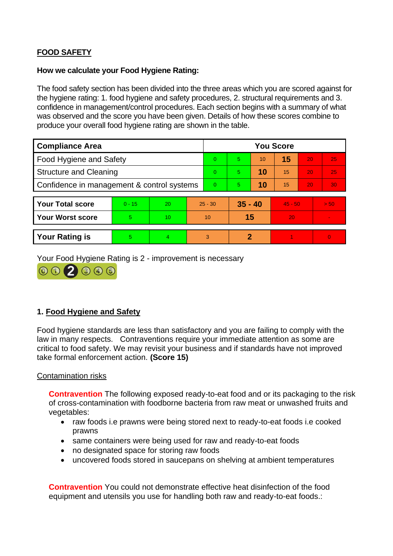# **FOOD SAFETY**

#### **How we calculate your Food Hygiene Rating:**

 The food safety section has been divided into the three areas which you are scored against for the hygiene rating: 1. food hygiene and safety procedures, 2. structural requirements and 3. confidence in management/control procedures. Each section begins with a summary of what was observed and the score you have been given. Details of how these scores combine to produce your overall food hygiene rating are shown in the table.

| <b>Compliance Area</b>                     |          |    |          | <b>You Score</b> |             |    |           |    |                |  |  |
|--------------------------------------------|----------|----|----------|------------------|-------------|----|-----------|----|----------------|--|--|
| <b>Food Hygiene and Safety</b>             |          |    |          | $\Omega$         | $5^{\circ}$ | 10 | 15        | 20 | 25             |  |  |
| <b>Structure and Cleaning</b>              |          |    | $\Omega$ | 5.               | 10          | 15 | 20        | 25 |                |  |  |
| Confidence in management & control systems |          |    | $\Omega$ | 5                | 10          | 15 | 20        | 30 |                |  |  |
|                                            |          |    |          |                  |             |    |           |    |                |  |  |
| <b>Your Total score</b>                    | $0 - 15$ | 20 |          | $25 - 30$        | $35 - 40$   |    | $45 - 50$ |    | > 50           |  |  |
| <b>Your Worst score</b>                    | 5        | 10 |          | 10               | 15          |    | 20        |    |                |  |  |
|                                            |          |    |          |                  |             |    |           |    |                |  |  |
| <b>Your Rating is</b>                      | 5        | 4. |          | 3                | 2           |    |           |    | $\overline{0}$ |  |  |

Your Food Hygiene Rating is 2 - improvement is necessary



# **1. Food Hygiene and Safety**

 law in many respects. Contraventions require your immediate attention as some are Food hygiene standards are less than satisfactory and you are failing to comply with the critical to food safety. We may revisit your business and if standards have not improved take formal enforcement action. **(Score 15)** 

## Contamination risks

**Contravention** The following exposed ready-to-eat food and or its packaging to the risk of cross-contamination with foodborne bacteria from raw meat or unwashed fruits and vegetables:

- raw foods i.e prawns were being stored next to ready-to-eat foods i.e cooked prawns
- same containers were being used for raw and ready-to-eat foods
- no designated space for storing raw foods
- uncovered foods stored in saucepans on shelving at ambient temperatures

**Contravention** You could not demonstrate effective heat disinfection of the food equipment and utensils you use for handling both raw and ready-to-eat foods.: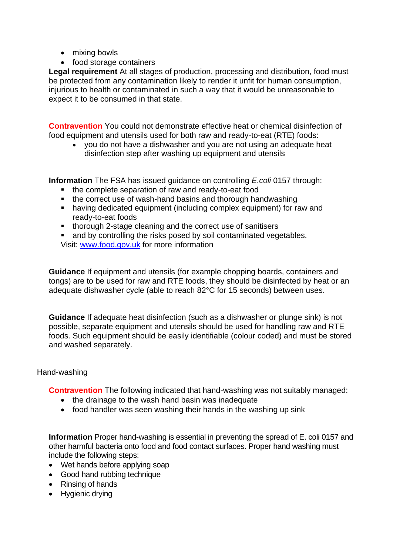- mixing bowls
- food storage containers

 injurious to health or contaminated in such a way that it would be unreasonable to **Legal requirement** At all stages of production, processing and distribution, food must be protected from any contamination likely to render it unfit for human consumption, expect it to be consumed in that state.

**Contravention** You could not demonstrate effective heat or chemical disinfection of food equipment and utensils used for both raw and ready-to-eat (RTE) foods:

 disinfection step after washing up equipment and utensils • you do not have a dishwasher and you are not using an adequate heat

**Information** The FSA has issued guidance on controlling *E.coli* 0157 through:

- the complete separation of raw and ready-to-eat food
- the correct use of wash-hand basins and thorough handwashing
- having dedicated equipment (including complex equipment) for raw and ready-to-eat foods
- thorough 2-stage cleaning and the correct use of sanitisers

and by controlling the risks posed by soil contaminated vegetables. Visit: [www.food.gov.uk](http://www.food.gov.uk/) for more information

**Guidance** If equipment and utensils (for example chopping boards, containers and tongs) are to be used for raw and RTE foods, they should be disinfected by heat or an adequate dishwasher cycle (able to reach 82°C for 15 seconds) between uses.

 **Guidance** If adequate heat disinfection (such as a dishwasher or plunge sink) is not possible, separate equipment and utensils should be used for handling raw and RTE foods. Such equipment should be easily identifiable (colour coded) and must be stored and washed separately.

## Hand-washing

**Contravention** The following indicated that hand-washing was not suitably managed:

- the drainage to the wash hand basin was inadequate
- food handler was seen washing their hands in the washing up sink

 **Information** Proper hand-washing is essential in preventing the spread of E. coli 0157 and other harmful bacteria onto food and food contact surfaces. Proper hand washing must include the following steps:

- Wet hands before applying soap
- Good hand rubbing technique
- Rinsing of hands
- Hygienic drying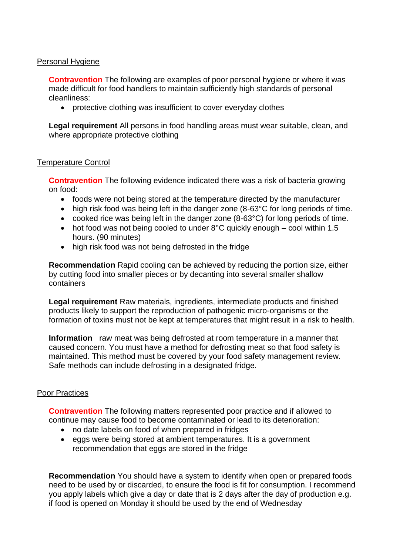## Personal Hygiene

 made difficult for food handlers to maintain sufficiently high standards of personal **Contravention** The following are examples of poor personal hygiene or where it was cleanliness:

• protective clothing was insufficient to cover everyday clothes

**Legal requirement** All persons in food handling areas must wear suitable, clean, and where appropriate protective clothing

#### Temperature Control

 **Contravention** The following evidence indicated there was a risk of bacteria growing on food:

- foods were not being stored at the temperature directed by the manufacturer
- high risk food was being left in the danger zone (8-63°C for long periods of time.
- cooked rice was being left in the danger zone (8-63°C) for long periods of time.
- hot food was not being cooled to under  $8^{\circ}$ C quickly enough cool within 1.5 hours. (90 minutes)
- high risk food was not being defrosted in the fridge

**Recommendation** Rapid cooling can be achieved by reducing the portion size, either by cutting food into smaller pieces or by decanting into several smaller shallow containers

**Legal requirement** Raw materials, ingredients, intermediate products and finished products likely to support the reproduction of pathogenic micro-organisms or the formation of toxins must not be kept at temperatures that might result in a risk to health.

 **Information** raw meat was being defrosted at room temperature in a manner that caused concern. You must have a method for defrosting meat so that food safety is maintained. This method must be covered by your food safety management review. Safe methods can include defrosting in a designated fridge.

#### Poor Practices

 **Contravention** The following matters represented poor practice and if allowed to continue may cause food to become contaminated or lead to its deterioration:

- no date labels on food of when prepared in fridges
- eggs were being stored at ambient temperatures. It is a government recommendation that eggs are stored in the fridge

 you apply labels which give a day or date that is 2 days after the day of production e.g. **Recommendation** You should have a system to identify when open or prepared foods need to be used by or discarded, to ensure the food is fit for consumption. I recommend if food is opened on Monday it should be used by the end of Wednesday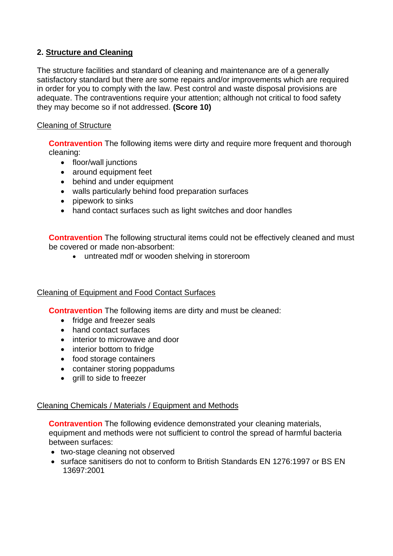# **2. Structure and Cleaning**

The structure facilities and standard of cleaning and maintenance are of a generally satisfactory standard but there are some repairs and/or improvements which are required in order for you to comply with the law. Pest control and waste disposal provisions are adequate. The contraventions require your attention; although not critical to food safety they may become so if not addressed. **(Score 10)** 

# Cleaning of Structure

**Contravention** The following items were dirty and require more frequent and thorough cleaning:

- floor/wall junctions
- around equipment feet
- behind and under equipment
- walls particularly behind food preparation surfaces
- pipework to sinks
- hand contact surfaces such as light switches and door handles

**Contravention** The following structural items could not be effectively cleaned and must be covered or made non-absorbent:

• untreated mdf or wooden shelving in storeroom

## Cleaning of Equipment and Food Contact Surfaces

**Contravention** The following items are dirty and must be cleaned:

- fridge and freezer seals
- hand contact surfaces
- interior to microwave and door
- interior bottom to fridge
- food storage containers
- container storing poppadums
- grill to side to freezer

## Cleaning Chemicals / Materials / Equipment and Methods

**Contravention** The following evidence demonstrated your cleaning materials, equipment and methods were not sufficient to control the spread of harmful bacteria between surfaces:

- two-stage cleaning not observed
- • surface sanitisers do not to conform to British Standards EN 1276:1997 or BS EN 13697:2001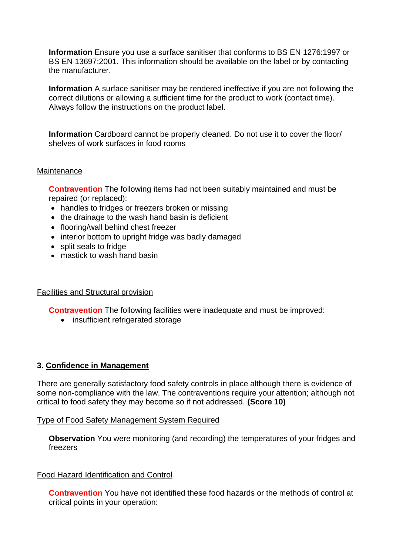**Information** Ensure you use a surface sanitiser that conforms to BS EN 1276:1997 or BS EN 13697:2001. This information should be available on the label or by contacting the manufacturer.

**Information** A surface sanitiser may be rendered ineffective if you are not following the correct dilutions or allowing a sufficient time for the product to work (contact time). Always follow the instructions on the product label.

**Information** Cardboard cannot be properly cleaned. Do not use it to cover the floor/ shelves of work surfaces in food rooms

#### **Maintenance**

 **Contravention** The following items had not been suitably maintained and must be repaired (or replaced):

- handles to fridges or freezers broken or missing
- the drainage to the wash hand basin is deficient
- flooring/wall behind chest freezer
- interior bottom to upright fridge was badly damaged
- split seals to fridge
- mastick to wash hand basin

## Facilities and Structural provision

**Contravention** The following facilities were inadequate and must be improved:

• insufficient refrigerated storage

## **3. Confidence in Management**

 There are generally satisfactory food safety controls in place although there is evidence of some non-compliance with the law. The contraventions require your attention; although not critical to food safety they may become so if not addressed. **(Score 10)** 

#### Type of Food Safety Management System Required

**Observation** You were monitoring (and recording) the temperatures of your fridges and freezers

## Food Hazard Identification and Control

**Contravention** You have not identified these food hazards or the methods of control at critical points in your operation: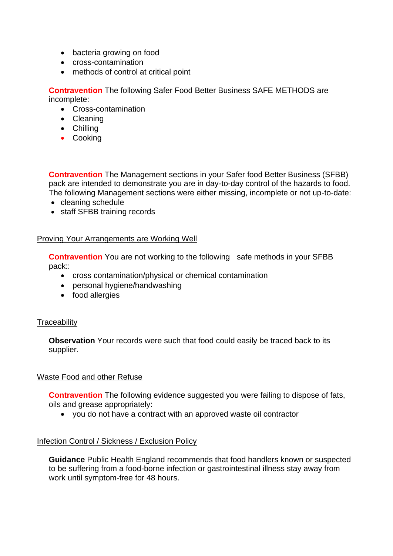- bacteria growing on food
- cross-contamination
- methods of control at critical point

**Contravention** The following Safer Food Better Business SAFE METHODS are incomplete:

- Cross-contamination
- Cleaning
- Chilling
- Cooking

**Contravention** The Management sections in your Safer food Better Business (SFBB) pack are intended to demonstrate you are in day-to-day control of the hazards to food. The following Management sections were either missing, incomplete or not up-to-date:

- cleaning schedule
- staff SFBB training records

## Proving Your Arrangements are Working Well

**Contravention** You are not working to the following safe methods in your SFBB pack::

- cross contamination/physical or chemical contamination
- personal hygiene/handwashing
- food allergies

## **Traceability**

**Observation** Your records were such that food could easily be traced back to its supplier.

## Waste Food and other Refuse

**Contravention** The following evidence suggested you were failing to dispose of fats, oils and grease appropriately:

• you do not have a contract with an approved waste oil contractor

## Infection Control / Sickness / Exclusion Policy

**Guidance** Public Health England recommends that food handlers known or suspected to be suffering from a food-borne infection or gastrointestinal illness stay away from work until symptom-free for 48 hours.